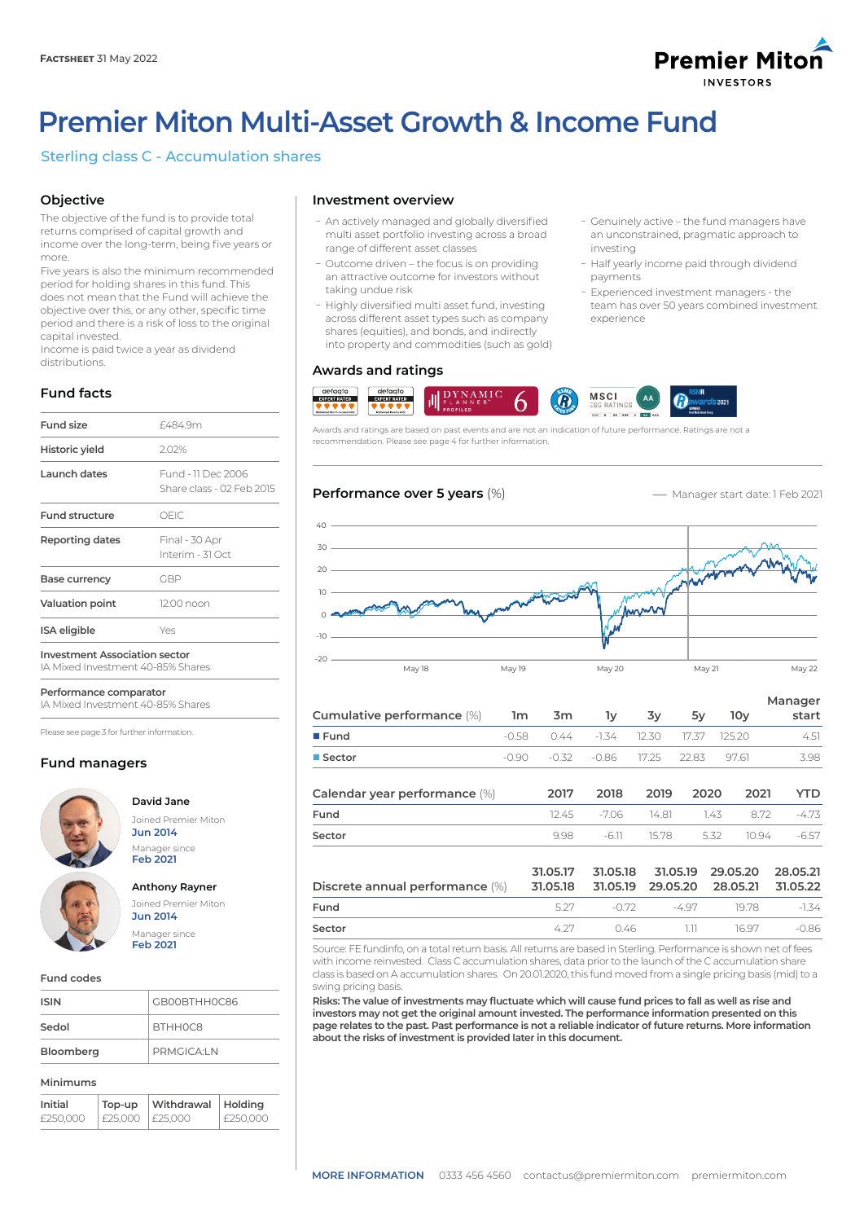

ܥGenuinely active – the fund managers have an unconstrained, pragmatic approach to

- Half yearly income paid through dividend

- Experienced investment managers - the team has over 50 years combined investment

investing

payments

experience

# **Premier Miton Multi-Asset Growth & Income Fund**

# Sterling class C - Accumulation shares

# **Objective**

The objective of the fund is to provide total returns comprised of capital growth and income over the long-term, being five years or more.

Five years is also the minimum recommended period for holding shares in this fund. This does not mean that the Fund will achieve the objective over this, or any other, specific time period and there is a risk of loss to the original capital invested.

Income is paid twice a year as dividend distributions.

# **Fund facts**

| <b>Fund size</b>                     | £4849m                                          |
|--------------------------------------|-------------------------------------------------|
| Historic yield                       | 2.02%                                           |
| Launch dates                         | Fund - 11 Dec 2006<br>Share class - 02 Feb 2015 |
| <b>Fund structure</b>                | OFIC                                            |
| <b>Reporting dates</b>               | Final - 30 Apr<br>Interim - 31 Oct              |
| Base currency                        | GBP                                             |
| <b>Valuation point</b>               | 12:00 noon                                      |
| <b>ISA</b> eligible                  | Yes                                             |
| <b>Investment Association sector</b> |                                                 |

IA Mixed Investment 40-85% Shares

**Performance comparator**

IA Mixed Investment 40-85% Shares

Please see page 3 for further information.

# **Fund managers**



## **David Jane** Joined Premier Miton **Jun 2014** Manager since

# **Anthony Rayner** Joined Premier Miton **Jun 2014** Manager since **Feb 2021**

**Feb 2021**

**Fund codes**

| <b>ISIN</b> | GB00BTHH0C86           |
|-------------|------------------------|
| Sedol       | <b>BTHHOC8</b>         |
| Bloomberg   | PRMGICA <sup>1</sup> N |

#### **Minimums**

| Initial  | Top-up          | Withdrawal | <b>Holding</b> |
|----------|-----------------|------------|----------------|
| £250,000 | £25,000 E25,000 |            | E250.000       |

# **Investment overview**

- An actively managed and globally diversified multi asset portfolio investing across a broad range of different asset classes
- Outcome driven the focus is on providing an attractive outcome for investors without taking undue risk
- Highly diversified multi asset fund, investing across different asset types such as company shares (equities), and bonds, and indirectly into property and commodities (such as gold)

## **Awards and ratings**



Awards and ratings are based on past events and are not an indication of future performance. Ratings are not a recommendation. Please see page 4 for further information.



| Cumulative performance (%) 1m 3m |  | 1v                            | 3v | 5۷ | 10v   | Manager<br>start |
|----------------------------------|--|-------------------------------|----|----|-------|------------------|
| $\blacksquare$ Fund              |  |                               |    |    |       | 4.51             |
| ■ Sector                         |  | -0.90 -0.32 -0.86 17.25 22.83 |    |    | 97.61 | 3.98             |

| Calendar year performance (%)   | 2017                 | 2018                 | 2019                 | 2020                 | 2021  | YTD                  |
|---------------------------------|----------------------|----------------------|----------------------|----------------------|-------|----------------------|
| Fund                            | 12.45                | -706                 | 14.81                | 1.43                 | 872   | $-4.73$              |
| Sector                          | 9.98                 | $-6.11$              | 15.78                | 5.32                 | 10.94 | $-6.57$              |
| Discrete annual performance (%) | 31.05.17<br>31.05.18 | 31.05.18<br>31.05.19 | 31.05.19<br>29.05.20 | 29.05.20<br>28.05.21 |       | 28.05.21<br>31.05.22 |
| Fund                            | 5.27                 | $-0.72$              | -497                 |                      | 1978  | $-1.34$              |

Source: FE fundinfo, on a total return basis. All returns are based in Sterling. Performance is shown net of fees with income reinvested. Class C accumulation shares, data prior to the launch of the C accumulation share class is based on A accumulation shares. On 20.01.2020, this fund moved from a single pricing basis (mid) to a swing pricing basis.

**Sector** 4.27 0.46 1.11 16.97 -0.86

**Risks: The value of investments may fluctuate which will cause fund prices to fall as well as rise and investors may not get the original amount invested. The performance information presented on this page relates to the past. Past performance is not a reliable indicator of future returns. More information about the risks of investment is provided later in this document.**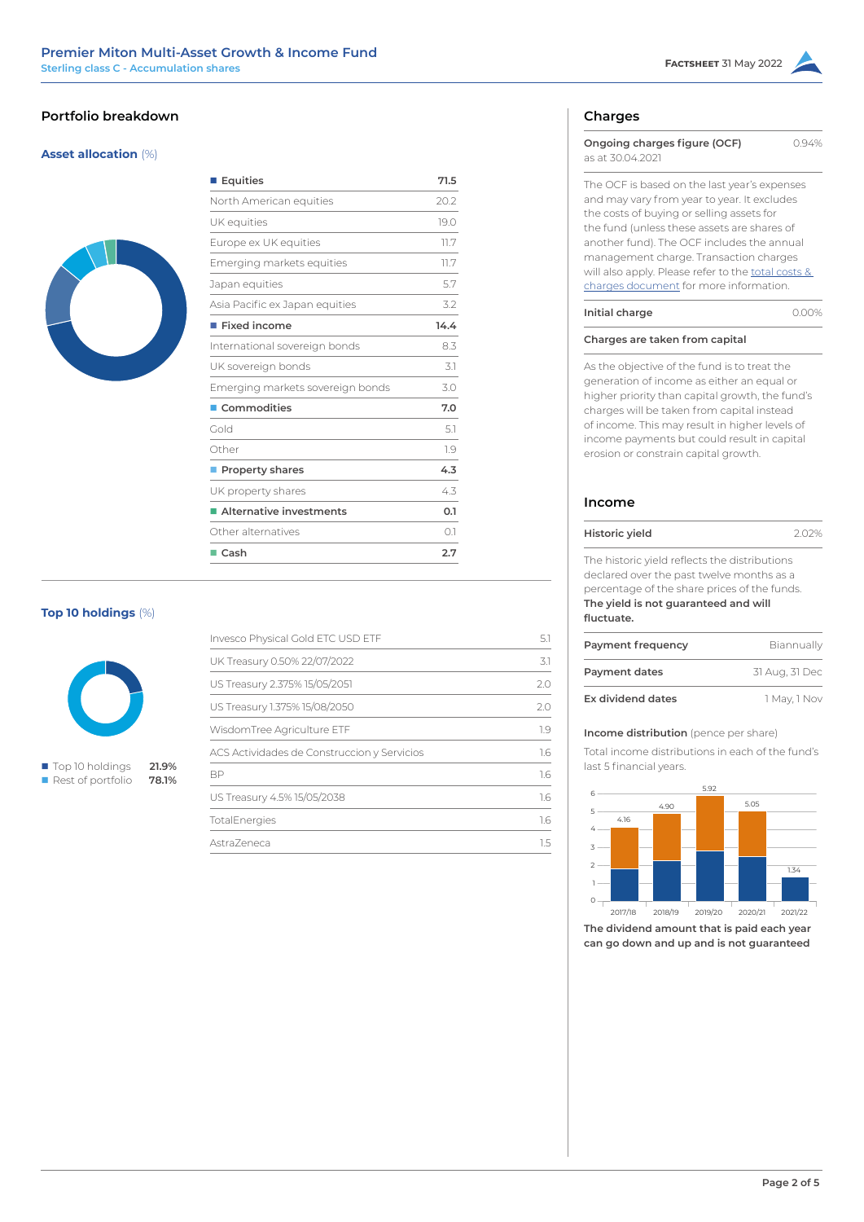# **Portfolio breakdown**

# **Asset allocation** (%)



| 71.5 |
|------|
| 20.2 |
| 19.0 |
| 11.7 |
| 11.7 |
| 5.7  |
| 3.2  |
| 14.4 |
| 8.3  |
| 3.1  |
| 3.0  |
| 7.0  |
| 5.1  |
| 1.9  |
| 4.3  |
| 4.3  |
| 0.1  |
| O.1  |
| 2.7  |
|      |

# **Top 10 holdings** (%)



■ Top 10 holdings **21.9% n** Rest of portfolio **78.1%** 

| Invesco Physical Gold ETC USD ETF           | 5.1 |
|---------------------------------------------|-----|
| UK Treasury 0.50% 22/07/2022                | 3.1 |
| US Treasury 2.375% 15/05/2051               | 2.0 |
| US Treasury 1.375% 15/08/2050               | 7.0 |
| WisdomTree Agriculture ETF                  | 1.9 |
| ACS Actividades de Construccion y Servicios | 1.6 |
| <b>BP</b>                                   | 1.6 |
| US Treasury 4.5% 15/05/2038                 | 1.6 |
| TotalEnergies                               | 1.6 |
| Astra7eneca                                 | 15  |

# **Charges**

| Ongoing charges figure (OCF)<br>as at 30.04.2021                                                                                                                                                                                                                                                                                                                                | 0.94% |
|---------------------------------------------------------------------------------------------------------------------------------------------------------------------------------------------------------------------------------------------------------------------------------------------------------------------------------------------------------------------------------|-------|
| The OCF is based on the last year's expenses<br>and may vary from year to year. It excludes<br>the costs of buying or selling assets for<br>the fund (unless these assets are shares of<br>another fund). The OCF includes the annual<br>management charge. Transaction charges<br>will also apply. Please refer to the total costs &<br>charges document for more information. |       |
| Initial charge                                                                                                                                                                                                                                                                                                                                                                  |       |

**Charges are taken from capital**

As the objective of the fund is to treat the generation of income as either an equal or higher priority than capital growth, the fund's charges will be taken from capital instead of income. This may result in higher levels of income payments but could result in capital erosion or constrain capital growth.

# **Income**

| Historic yield                                                                                                                             | 202% |
|--------------------------------------------------------------------------------------------------------------------------------------------|------|
| The historic yield reflects the distributions<br>declared over the past twelve months as a<br>percentage of the share prices of the funds. |      |
| The yield is not guaranteed and will<br>fluctuate.                                                                                         |      |

| Payment frequency        | Biannually     |
|--------------------------|----------------|
| Payment dates            | 31 Aug, 31 Dec |
| <b>Ex dividend dates</b> | 1 May, 1 Nov   |

## **Income distribution** (pence per share)

Total income distributions in each of the fund's last 5 financial years.



**The dividend amount that is paid each year can go down and up and is not guaranteed**

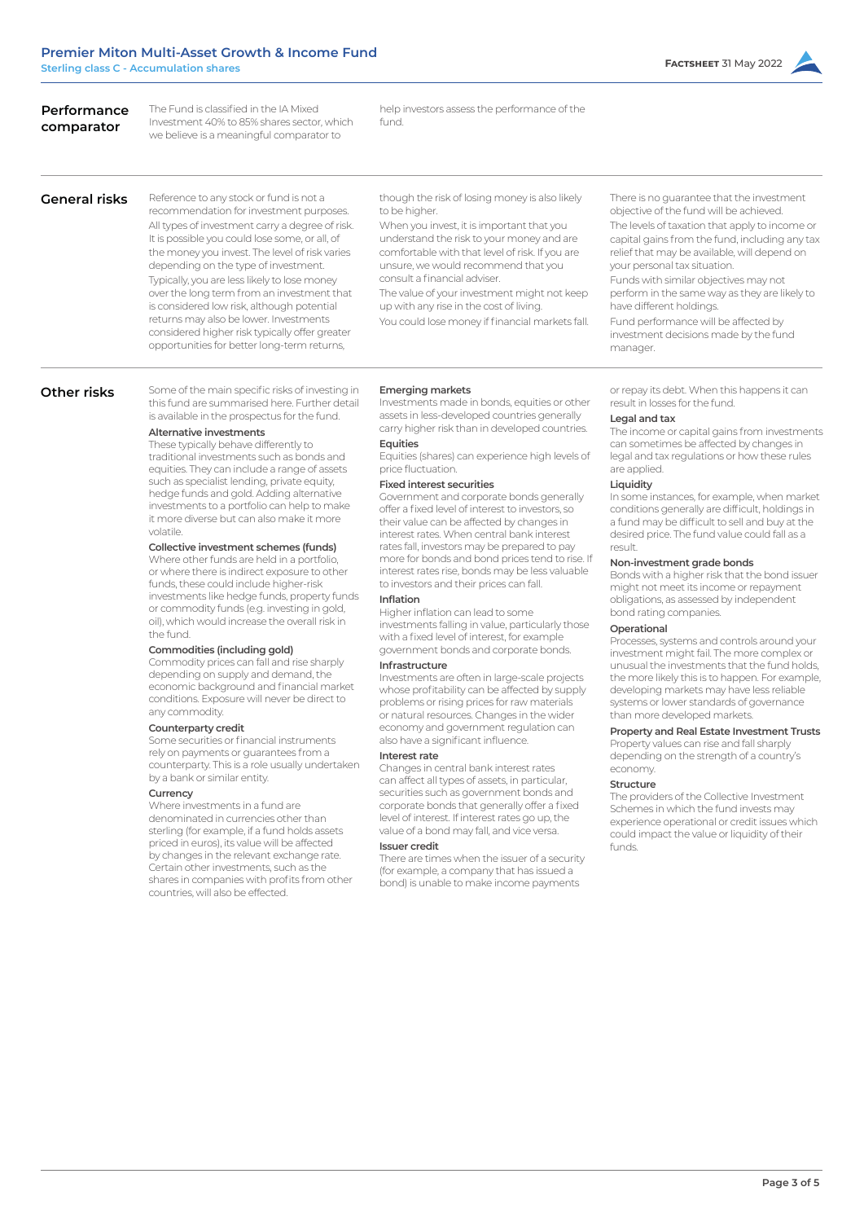| Performance<br>comparator | The Fund is classified in the IA Mixed<br>Investment 40% to 85% shares sector, which<br>we believe is a meaningful comparator to                                                                                                                                                                                                                                                                                                                                                                                                                                                                                                                                                                                                                                                                                                                                                                                                                                                                                                                                                                                                                                                                                                                                                                                                                                                                                                                                                                                                                                                                                                                                          | help investors assess the performance of the<br>fund.                                                                                                                                                                                                                                                                                                                                                                                                                                                                                                                                                                                                                                                                                                                                                                                                                                                                                                                                                                                                                                                                                                                                                                                                                                                                                                                                                                                                                                                                                                                                                                                                                 |                                                                                                                                                                                                                                                                                                                                                                                                                                                                                                                                                                                                                                                                                                                                                                                                                                                                                                                                                                                                                                                                                                                                                                                                                                                                                                                                                                                                       |
|---------------------------|---------------------------------------------------------------------------------------------------------------------------------------------------------------------------------------------------------------------------------------------------------------------------------------------------------------------------------------------------------------------------------------------------------------------------------------------------------------------------------------------------------------------------------------------------------------------------------------------------------------------------------------------------------------------------------------------------------------------------------------------------------------------------------------------------------------------------------------------------------------------------------------------------------------------------------------------------------------------------------------------------------------------------------------------------------------------------------------------------------------------------------------------------------------------------------------------------------------------------------------------------------------------------------------------------------------------------------------------------------------------------------------------------------------------------------------------------------------------------------------------------------------------------------------------------------------------------------------------------------------------------------------------------------------------------|-----------------------------------------------------------------------------------------------------------------------------------------------------------------------------------------------------------------------------------------------------------------------------------------------------------------------------------------------------------------------------------------------------------------------------------------------------------------------------------------------------------------------------------------------------------------------------------------------------------------------------------------------------------------------------------------------------------------------------------------------------------------------------------------------------------------------------------------------------------------------------------------------------------------------------------------------------------------------------------------------------------------------------------------------------------------------------------------------------------------------------------------------------------------------------------------------------------------------------------------------------------------------------------------------------------------------------------------------------------------------------------------------------------------------------------------------------------------------------------------------------------------------------------------------------------------------------------------------------------------------------------------------------------------------|-------------------------------------------------------------------------------------------------------------------------------------------------------------------------------------------------------------------------------------------------------------------------------------------------------------------------------------------------------------------------------------------------------------------------------------------------------------------------------------------------------------------------------------------------------------------------------------------------------------------------------------------------------------------------------------------------------------------------------------------------------------------------------------------------------------------------------------------------------------------------------------------------------------------------------------------------------------------------------------------------------------------------------------------------------------------------------------------------------------------------------------------------------------------------------------------------------------------------------------------------------------------------------------------------------------------------------------------------------------------------------------------------------|
| <b>General risks</b>      | Reference to any stock or fund is not a<br>recommendation for investment purposes.<br>All types of investment carry a degree of risk.<br>It is possible you could lose some, or all, of<br>the money you invest. The level of risk varies<br>depending on the type of investment.<br>Typically, you are less likely to lose money<br>over the long term from an investment that<br>is considered low risk, although potential<br>returns may also be lower. Investments<br>considered higher risk typically offer greater<br>opportunities for better long-term returns,                                                                                                                                                                                                                                                                                                                                                                                                                                                                                                                                                                                                                                                                                                                                                                                                                                                                                                                                                                                                                                                                                                  | though the risk of losing money is also likely<br>to be higher.<br>When you invest, it is important that you<br>understand the risk to your money and are<br>comfortable with that level of risk. If you are<br>unsure, we would recommend that you<br>consult a financial adviser.<br>The value of your investment might not keep<br>up with any rise in the cost of living.<br>You could lose money if financial markets fall.                                                                                                                                                                                                                                                                                                                                                                                                                                                                                                                                                                                                                                                                                                                                                                                                                                                                                                                                                                                                                                                                                                                                                                                                                                      | There is no guarantee that the investment<br>objective of the fund will be achieved.<br>The levels of taxation that apply to income or<br>capital gains from the fund, including any tax<br>relief that may be available, will depend on<br>your personal tax situation.<br>Funds with similar objectives may not<br>perform in the same way as they are likely to<br>have different holdings.<br>Fund performance will be affected by<br>investment decisions made by the fund<br>manager.                                                                                                                                                                                                                                                                                                                                                                                                                                                                                                                                                                                                                                                                                                                                                                                                                                                                                                           |
| Other risks               | Some of the main specific risks of investing in<br>this fund are summarised here. Further detail<br>is available in the prospectus for the fund.<br>Alternative investments<br>These typically behave differently to<br>traditional investments such as bonds and<br>equities. They can include a range of assets<br>such as specialist lending, private equity,<br>hedge funds and gold. Adding alternative<br>investments to a portfolio can help to make<br>it more diverse but can also make it more<br>volatile.<br>Collective investment schemes (funds)<br>Where other funds are held in a portfolio,<br>or where there is indirect exposure to other<br>funds, these could include higher-risk<br>investments like hedge funds, property funds<br>or commodity funds (e.g. investing in gold,<br>oil), which would increase the overall risk in<br>the fund.<br>Commodities (including gold)<br>Commodity prices can fall and rise sharply<br>depending on supply and demand, the<br>economic background and financial market<br>conditions. Exposure will never be direct to<br>any commodity.<br>Counterparty credit<br>Some securities or financial instruments<br>rely on payments or guarantees from a<br>counterparty. This is a role usually undertaken<br>by a bank or similar entity.<br>Currency<br>Where investments in a fund are<br>denominated in currencies other than<br>sterling (for example, if a fund holds assets<br>priced in euros), its value will be affected<br>by changes in the relevant exchange rate.<br>Certain other investments, such as the<br>shares in companies with profits from other<br>countries, will also be effected. | <b>Emerging markets</b><br>Investments made in bonds, equities or other<br>assets in less-developed countries generally<br>carry higher risk than in developed countries.<br>Equities<br>Equities (shares) can experience high levels of<br>price fluctuation.<br><b>Fixed interest securities</b><br>Government and corporate bonds generally<br>offer a fixed level of interest to investors, so<br>their value can be affected by changes in<br>interest rates. When central bank interest<br>rates fall, investors may be prepared to pay<br>more for bonds and bond prices tend to rise. If<br>interest rates rise, bonds may be less valuable<br>to investors and their prices can fall.<br>Inflation<br>Higher inflation can lead to some<br>investments falling in value, particularly those<br>with a fixed level of interest, for example<br>government bonds and corporate bonds.<br>Infrastructure<br>Investments are often in large-scale projects<br>whose profitability can be affected by supply<br>problems or rising prices for raw materials<br>or natural resources. Changes in the wider<br>economy and government regulation can<br>also have a significant influence.<br>Interest rate<br>Changes in central bank interest rates<br>can affect all types of assets, in particular,<br>securities such as government bonds and<br>corporate bonds that generally offer a fixed<br>level of interest. If interest rates go up, the<br>value of a bond may fall, and vice versa.<br><b>Issuer credit</b><br>There are times when the issuer of a security<br>(for example, a company that has issued a<br>bond) is unable to make income payments | or repay its debt. When this happens it can<br>result in losses for the fund.<br>Legal and tax<br>The income or capital gains from investments<br>can sometimes be affected by changes in<br>legal and tax regulations or how these rules<br>are applied.<br>Liquidity<br>In some instances, for example, when market<br>conditions generally are difficult, holdings in<br>a fund may be difficult to sell and buy at the<br>desired price. The fund value could fall as a<br>result.<br>Non-investment grade bonds<br>Bonds with a higher risk that the bond issuer<br>might not meet its income or repayment<br>obligations, as assessed by independent<br>bond rating companies.<br>Operational<br>Processes, systems and controls around your<br>investment might fail. The more complex or<br>unusual the investments that the fund holds.<br>the more likely this is to happen. For example,<br>developing markets may have less reliable<br>systems or lower standards of governance<br>than more developed markets.<br>Property and Real Estate Investment Trusts<br>Property values can rise and fall sharply<br>depending on the strength of a country's<br>economy.<br><b>Structure</b><br>The providers of the Collective Investment<br>Schemes in which the fund invests may<br>experience operational or credit issues which<br>could impact the value or liquidity of their<br>funds. |

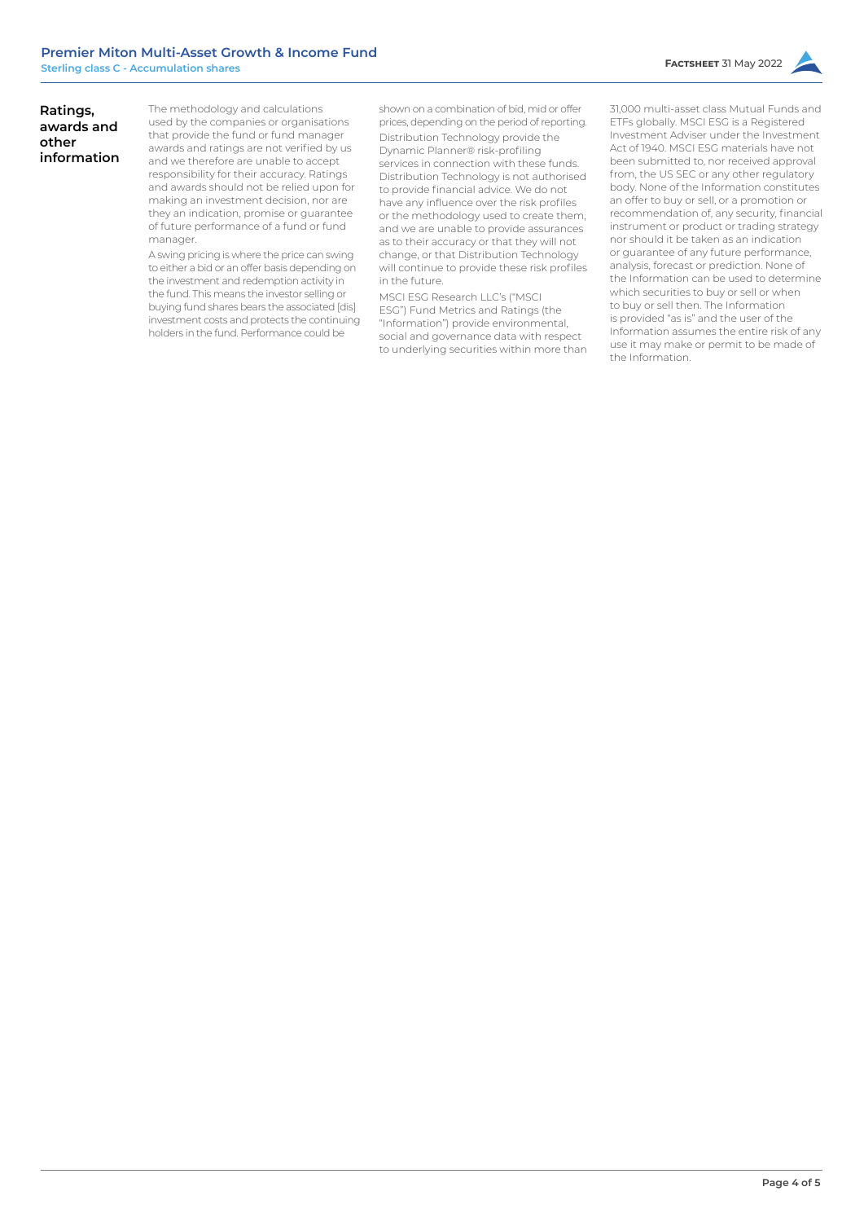# **Ratings, awards and other information**

The methodology and calculations used by the companies or organisations that provide the fund or fund manager awards and ratings are not verified by us and we therefore are unable to accept responsibility for their accuracy. Ratings and awards should not be relied upon for making an investment decision, nor are they an indication, promise or guarantee of future performance of a fund or fund manager.

A swing pricing is where the price can swing to either a bid or an offer basis depending on the investment and redemption activity in the fund. This means the investor selling or buying fund shares bears the associated [dis] investment costs and protects the continuing holders in the fund. Performance could be

shown on a combination of bid, mid or offer prices, depending on the period of reporting. Distribution Technology provide the Dynamic Planner® risk-profiling services in connection with these funds. Distribution Technology is not authorised to provide financial advice. We do not have any influence over the risk profiles or the methodology used to create them, and we are unable to provide assurances as to their accuracy or that they will not change, or that Distribution Technology will continue to provide these risk profiles in the future.

MSCI ESG Research LLC's ("MSCI ESG") Fund Metrics and Ratings (the "Information") provide environmental, social and governance data with respect to underlying securities within more than

31,000 multi-asset class Mutual Funds and ETFs globally. MSCI ESG is a Registered Investment Adviser under the Investment Act of 1940. MSCI ESG materials have not been submitted to, nor received approval from, the US SEC or any other regulatory body. None of the Information constitutes an offer to buy or sell, or a promotion or recommendation of, any security, financial instrument or product or trading strategy nor should it be taken as an indication or guarantee of any future performance, analysis, forecast or prediction. None of the Information can be used to determine which securities to buy or sell or when to buy or sell then. The Information is provided "as is" and the user of the Information assumes the entire risk of any use it may make or permit to be made of the Information.